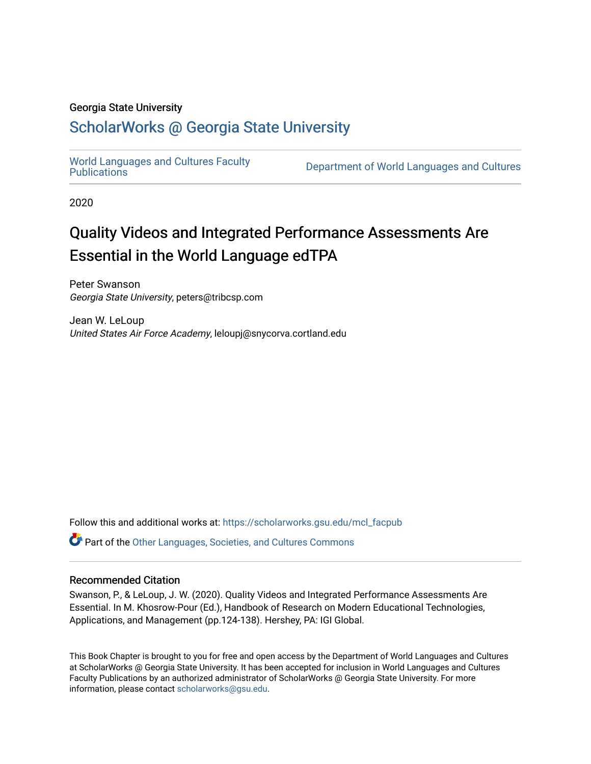# Georgia State University

# [ScholarWorks @ Georgia State University](https://scholarworks.gsu.edu/)

[World Languages and Cultures Faculty](https://scholarworks.gsu.edu/mcl_facpub)<br>Publications

Department of World Languages and Cultures

2020

# Quality Videos and Integrated Performance Assessments Are Essential in the World Language edTPA

Peter Swanson Georgia State University, peters@tribcsp.com

Jean W. LeLoup United States Air Force Academy, leloupj@snycorva.cortland.edu

Follow this and additional works at: [https://scholarworks.gsu.edu/mcl\\_facpub](https://scholarworks.gsu.edu/mcl_facpub?utm_source=scholarworks.gsu.edu%2Fmcl_facpub%2F83&utm_medium=PDF&utm_campaign=PDFCoverPages) 

Part of the [Other Languages, Societies, and Cultures Commons](http://network.bepress.com/hgg/discipline/475?utm_source=scholarworks.gsu.edu%2Fmcl_facpub%2F83&utm_medium=PDF&utm_campaign=PDFCoverPages)

# Recommended Citation

Swanson, P., & LeLoup, J. W. (2020). Quality Videos and Integrated Performance Assessments Are Essential. In M. Khosrow-Pour (Ed.), Handbook of Research on Modern Educational Technologies, Applications, and Management (pp.124-138). Hershey, PA: IGI Global.

This Book Chapter is brought to you for free and open access by the Department of World Languages and Cultures at ScholarWorks @ Georgia State University. It has been accepted for inclusion in World Languages and Cultures Faculty Publications by an authorized administrator of ScholarWorks @ Georgia State University. For more information, please contact [scholarworks@gsu.edu](mailto:scholarworks@gsu.edu).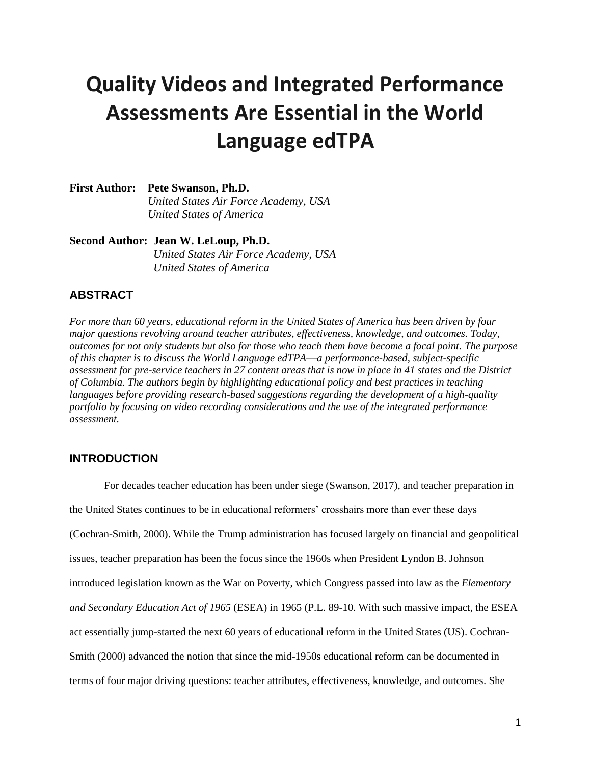# **Quality Videos and Integrated Performance Assessments Are Essential in the World Language edTPA**

**First Author: Pete Swanson, Ph.D.**  *United States Air Force Academy, USA United States of America*

**Second Author: Jean W. LeLoup, Ph.D.**

 *United States Air Force Academy, USA United States of America*

# **ABSTRACT**

*For more than 60 years, educational reform in the United States of America has been driven by four major questions revolving around teacher attributes, effectiveness, knowledge, and outcomes. Today, outcomes for not only students but also for those who teach them have become a focal point. The purpose of this chapter is to discuss the World Language edTPA*—*a performance-based, subject-specific assessment for pre-service teachers in 27 content areas that is now in place in 41 states and the District of Columbia. The authors begin by highlighting educational policy and best practices in teaching languages before providing research-based suggestions regarding the development of a high-quality portfolio by focusing on video recording considerations and the use of the integrated performance assessment.* 

# **INTRODUCTION**

For decades teacher education has been under siege (Swanson, 2017), and teacher preparation in the United States continues to be in educational reformers' crosshairs more than ever these days (Cochran-Smith, 2000). While the Trump administration has focused largely on financial and geopolitical issues, teacher preparation has been the focus since the 1960s when President Lyndon B. Johnson introduced legislation known as the War on Poverty, which Congress passed into law as the *Elementary and Secondary Education Act of 1965* (ESEA) in 1965 (P.L. 89-10. With such massive impact, the ESEA act essentially jump-started the next 60 years of educational reform in the United States (US). Cochran-Smith (2000) advanced the notion that since the mid-1950s educational reform can be documented in terms of four major driving questions: teacher attributes, effectiveness, knowledge, and outcomes. She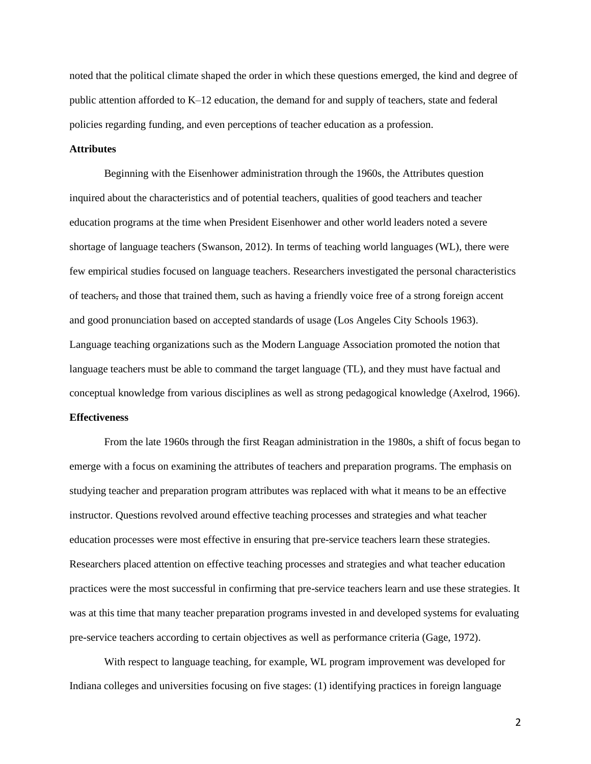noted that the political climate shaped the order in which these questions emerged, the kind and degree of public attention afforded to K–12 education, the demand for and supply of teachers, state and federal policies regarding funding, and even perceptions of teacher education as a profession.

# **Attributes**

Beginning with the Eisenhower administration through the 1960s, the Attributes question inquired about the characteristics and of potential teachers, qualities of good teachers and teacher education programs at the time when President Eisenhower and other world leaders noted a severe shortage of language teachers (Swanson, 2012). In terms of teaching world languages (WL), there were few empirical studies focused on language teachers. Researchers investigated the personal characteristics of teachers, and those that trained them, such as having a friendly voice free of a strong foreign accent and good pronunciation based on accepted standards of usage (Los Angeles City Schools 1963). Language teaching organizations such as the Modern Language Association promoted the notion that language teachers must be able to command the target language (TL), and they must have factual and conceptual knowledge from various disciplines as well as strong pedagogical knowledge (Axelrod, 1966).

# **Effectiveness**

From the late 1960s through the first Reagan administration in the 1980s, a shift of focus began to emerge with a focus on examining the attributes of teachers and preparation programs. The emphasis on studying teacher and preparation program attributes was replaced with what it means to be an effective instructor. Questions revolved around effective teaching processes and strategies and what teacher education processes were most effective in ensuring that pre-service teachers learn these strategies. Researchers placed attention on effective teaching processes and strategies and what teacher education practices were the most successful in confirming that pre-service teachers learn and use these strategies. It was at this time that many teacher preparation programs invested in and developed systems for evaluating pre-service teachers according to certain objectives as well as performance criteria (Gage, 1972).

With respect to language teaching, for example, WL program improvement was developed for Indiana colleges and universities focusing on five stages: (1) identifying practices in foreign language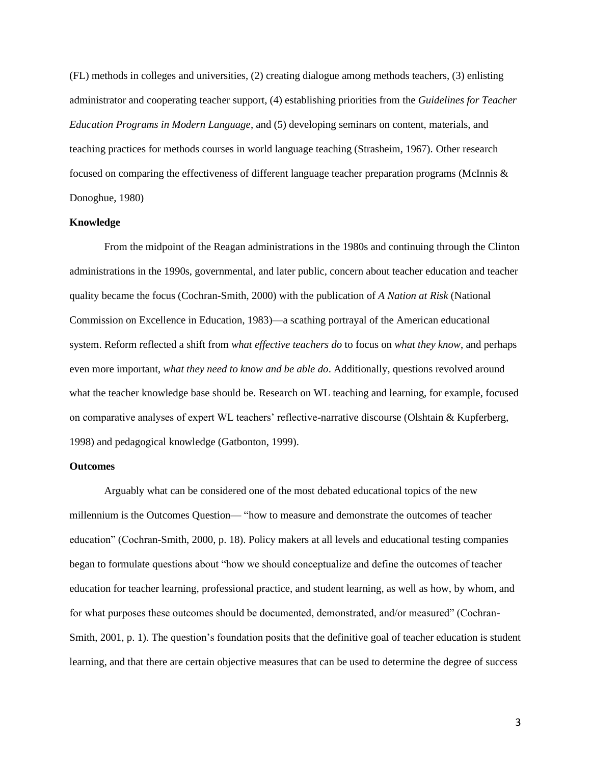(FL) methods in colleges and universities, (2) creating dialogue among methods teachers, (3) enlisting administrator and cooperating teacher support, (4) establishing priorities from the *Guidelines for Teacher Education Programs in Modern Language*, and (5) developing seminars on content, materials, and teaching practices for methods courses in world language teaching (Strasheim, 1967). Other research focused on comparing the effectiveness of different language teacher preparation programs (McInnis & Donoghue, 1980)

# **Knowledge**

From the midpoint of the Reagan administrations in the 1980s and continuing through the Clinton administrations in the 1990s, governmental, and later public, concern about teacher education and teacher quality became the focus (Cochran-Smith, 2000) with the publication of *A Nation at Risk* (National Commission on Excellence in Education, 1983)—a scathing portrayal of the American educational system. Reform reflected a shift from *what effective teachers do* to focus on *what they know*, and perhaps even more important, *what they need to know and be able do*. Additionally, questions revolved around what the teacher knowledge base should be. Research on WL teaching and learning, for example, focused on comparative analyses of expert WL teachers' reflective-narrative discourse (Olshtain & Kupferberg, 1998) and pedagogical knowledge (Gatbonton, 1999).

#### **Outcomes**

Arguably what can be considered one of the most debated educational topics of the new millennium is the Outcomes Question— "how to measure and demonstrate the outcomes of teacher education" (Cochran-Smith, 2000, p. 18). Policy makers at all levels and educational testing companies began to formulate questions about "how we should conceptualize and define the outcomes of teacher education for teacher learning, professional practice, and student learning, as well as how, by whom, and for what purposes these outcomes should be documented, demonstrated, and/or measured" (Cochran-Smith, 2001, p. 1). The question's foundation posits that the definitive goal of teacher education is student learning, and that there are certain objective measures that can be used to determine the degree of success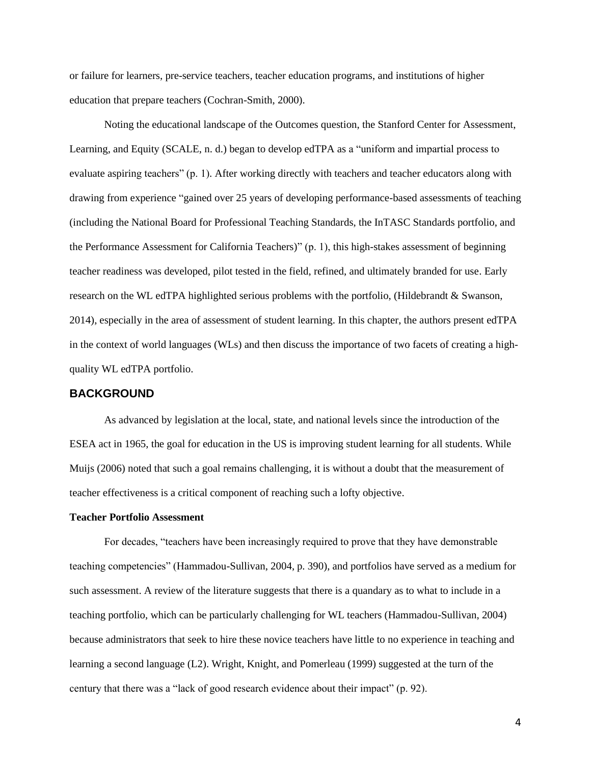or failure for learners, pre-service teachers, teacher education programs, and institutions of higher education that prepare teachers (Cochran-Smith, 2000).

Noting the educational landscape of the Outcomes question, the Stanford Center for Assessment, Learning, and Equity (SCALE, n. d.) began to develop edTPA as a "uniform and impartial process to evaluate aspiring teachers" (p. 1). After working directly with teachers and teacher educators along with drawing from experience "gained over 25 years of developing performance-based assessments of teaching (including the National Board for Professional Teaching Standards, the InTASC Standards portfolio, and the Performance Assessment for California Teachers)" (p. 1), this high-stakes assessment of beginning teacher readiness was developed, pilot tested in the field, refined, and ultimately branded for use. Early research on the WL edTPA highlighted serious problems with the portfolio, (Hildebrandt & Swanson, 2014), especially in the area of assessment of student learning. In this chapter, the authors present edTPA in the context of world languages (WLs) and then discuss the importance of two facets of creating a highquality WL edTPA portfolio.

# **BACKGROUND**

As advanced by legislation at the local, state, and national levels since the introduction of the ESEA act in 1965, the goal for education in the US is improving student learning for all students. While Muijs (2006) noted that such a goal remains challenging, it is without a doubt that the measurement of teacher effectiveness is a critical component of reaching such a lofty objective.

#### **Teacher Portfolio Assessment**

For decades, "teachers have been increasingly required to prove that they have demonstrable teaching competencies" (Hammadou-Sullivan, 2004, p. 390), and portfolios have served as a medium for such assessment. A review of the literature suggests that there is a quandary as to what to include in a teaching portfolio, which can be particularly challenging for WL teachers (Hammadou-Sullivan, 2004) because administrators that seek to hire these novice teachers have little to no experience in teaching and learning a second language (L2). Wright, Knight, and Pomerleau (1999) suggested at the turn of the century that there was a "lack of good research evidence about their impact" (p. 92).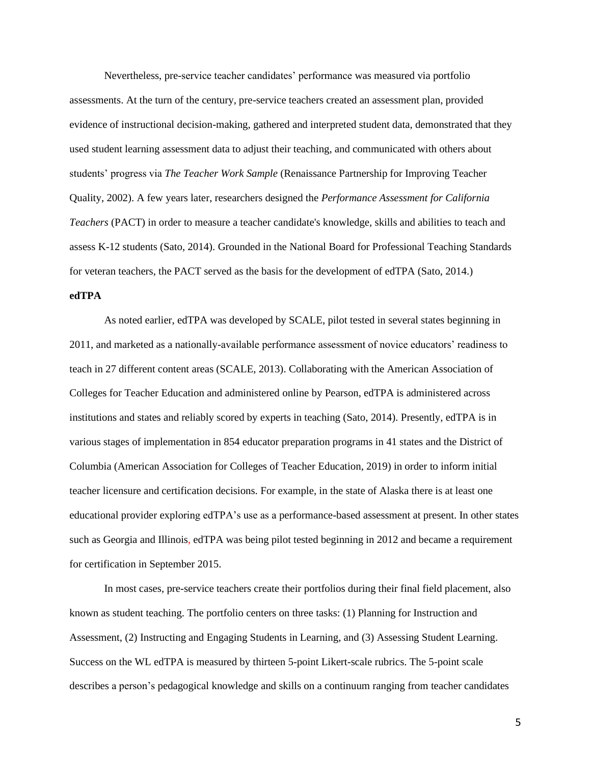Nevertheless, pre-service teacher candidates' performance was measured via portfolio assessments. At the turn of the century, pre-service teachers created an assessment plan, provided evidence of instructional decision-making, gathered and interpreted student data, demonstrated that they used student learning assessment data to adjust their teaching, and communicated with others about students' progress via *The Teacher Work Sample* (Renaissance Partnership for Improving Teacher Quality, 2002). A few years later, researchers designed the *Performance Assessment for California Teachers* (PACT) in order to measure a teacher candidate's knowledge, skills and abilities to teach and assess K-12 students (Sato, 2014). Grounded in the National Board for Professional Teaching Standards for veteran teachers, the PACT served as the basis for the development of edTPA (Sato, 2014.)

# **edTPA**

As noted earlier, edTPA was developed by SCALE, pilot tested in several states beginning in 2011, and marketed as a nationally-available performance assessment of novice educators' readiness to teach in 27 different content areas (SCALE, 2013). Collaborating with the American Association of Colleges for Teacher Education and administered online by Pearson, edTPA is administered across institutions and states and reliably scored by experts in teaching (Sato, 2014). Presently, edTPA is in various stages of implementation in 854 educator preparation programs in 41 states and the District of Columbia (American Association for Colleges of Teacher Education, 2019) in order to inform initial teacher licensure and certification decisions. For example, in the state of Alaska there is at least one educational provider exploring edTPA's use as a performance-based assessment at present. In other states such as Georgia and Illinois, edTPA was being pilot tested beginning in 2012 and became a requirement for certification in September 2015.

In most cases, pre-service teachers create their portfolios during their final field placement, also known as student teaching. The portfolio centers on three tasks: (1) Planning for Instruction and Assessment, (2) Instructing and Engaging Students in Learning, and (3) Assessing Student Learning. Success on the WL edTPA is measured by thirteen 5-point Likert-scale rubrics. The 5-point scale describes a person's pedagogical knowledge and skills on a continuum ranging from teacher candidates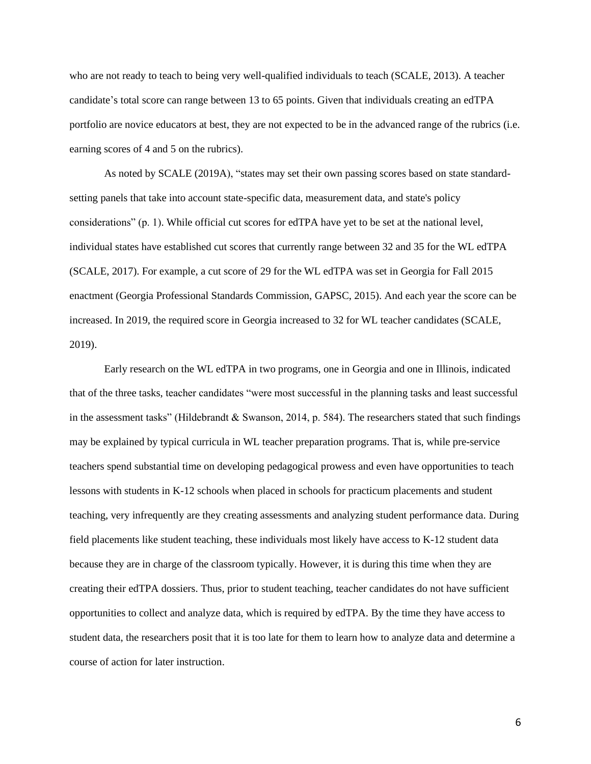who are not ready to teach to being very well-qualified individuals to teach (SCALE, 2013). A teacher candidate's total score can range between 13 to 65 points. Given that individuals creating an edTPA portfolio are novice educators at best, they are not expected to be in the advanced range of the rubrics (i.e. earning scores of 4 and 5 on the rubrics).

As noted by SCALE (2019A), "states may set their own passing scores based on state standardsetting panels that take into account state-specific data, measurement data, and state's policy considerations" (p. 1). While official cut scores for edTPA have yet to be set at the national level, individual states have established cut scores that currently range between 32 and 35 for the WL edTPA (SCALE, 2017). For example, a cut score of 29 for the WL edTPA was set in Georgia for Fall 2015 enactment (Georgia Professional Standards Commission, GAPSC, 2015). And each year the score can be increased. In 2019, the required score in Georgia increased to 32 for WL teacher candidates (SCALE, 2019).

Early research on the WL edTPA in two programs, one in Georgia and one in Illinois, indicated that of the three tasks, teacher candidates "were most successful in the planning tasks and least successful in the assessment tasks" (Hildebrandt & Swanson, 2014, p. 584). The researchers stated that such findings may be explained by typical curricula in WL teacher preparation programs. That is, while pre-service teachers spend substantial time on developing pedagogical prowess and even have opportunities to teach lessons with students in K-12 schools when placed in schools for practicum placements and student teaching, very infrequently are they creating assessments and analyzing student performance data. During field placements like student teaching, these individuals most likely have access to K-12 student data because they are in charge of the classroom typically. However, it is during this time when they are creating their edTPA dossiers. Thus, prior to student teaching, teacher candidates do not have sufficient opportunities to collect and analyze data, which is required by edTPA. By the time they have access to student data, the researchers posit that it is too late for them to learn how to analyze data and determine a course of action for later instruction.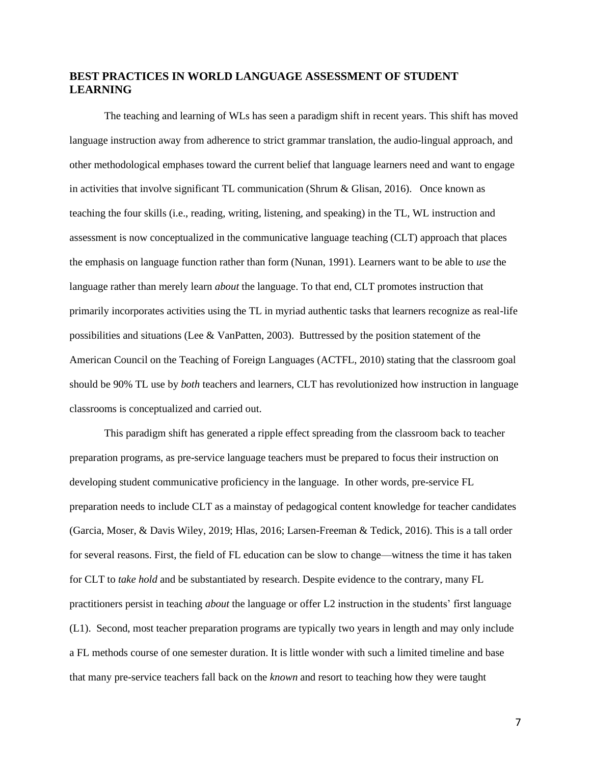# **BEST PRACTICES IN WORLD LANGUAGE ASSESSMENT OF STUDENT LEARNING**

The teaching and learning of WLs has seen a paradigm shift in recent years. This shift has moved language instruction away from adherence to strict grammar translation, the audio-lingual approach, and other methodological emphases toward the current belief that language learners need and want to engage in activities that involve significant TL communication (Shrum & Glisan, 2016). Once known as teaching the four skills (i.e., reading, writing, listening, and speaking) in the TL, WL instruction and assessment is now conceptualized in the communicative language teaching (CLT) approach that places the emphasis on language function rather than form (Nunan, 1991). Learners want to be able to *use* the language rather than merely learn *about* the language. To that end, CLT promotes instruction that primarily incorporates activities using the TL in myriad authentic tasks that learners recognize as real-life possibilities and situations (Lee & VanPatten, 2003). Buttressed by the position statement of the American Council on the Teaching of Foreign Languages (ACTFL, 2010) stating that the classroom goal should be 90% TL use by *both* teachers and learners, CLT has revolutionized how instruction in language classrooms is conceptualized and carried out.

This paradigm shift has generated a ripple effect spreading from the classroom back to teacher preparation programs, as pre-service language teachers must be prepared to focus their instruction on developing student communicative proficiency in the language. In other words, pre-service FL preparation needs to include CLT as a mainstay of pedagogical content knowledge for teacher candidates (Garcia, Moser, & Davis Wiley, 2019; Hlas, 2016; Larsen-Freeman & Tedick, 2016). This is a tall order for several reasons. First, the field of FL education can be slow to change—witness the time it has taken for CLT to *take hold* and be substantiated by research. Despite evidence to the contrary, many FL practitioners persist in teaching *about* the language or offer L2 instruction in the students' first language (L1). Second, most teacher preparation programs are typically two years in length and may only include a FL methods course of one semester duration. It is little wonder with such a limited timeline and base that many pre-service teachers fall back on the *known* and resort to teaching how they were taught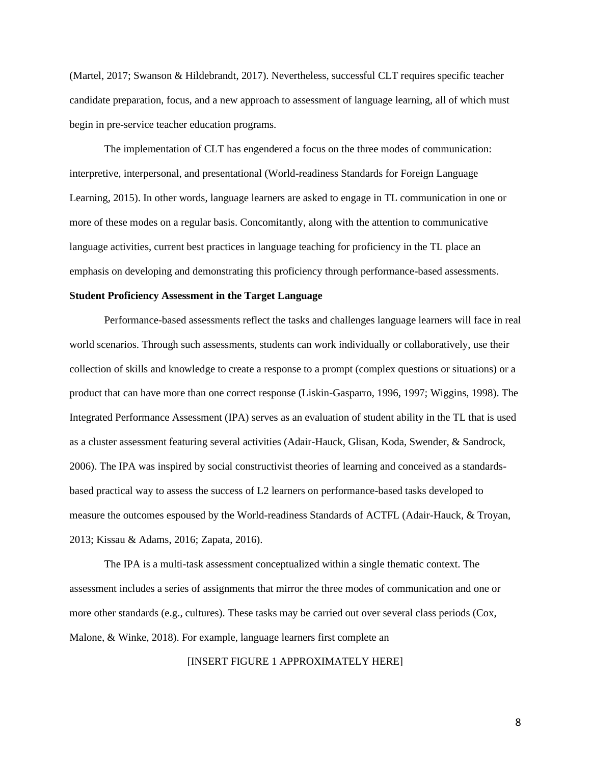(Martel, 2017; Swanson & Hildebrandt, 2017). Nevertheless, successful CLT requires specific teacher candidate preparation, focus, and a new approach to assessment of language learning, all of which must begin in pre-service teacher education programs.

The implementation of CLT has engendered a focus on the three modes of communication: interpretive, interpersonal, and presentational (World-readiness Standards for Foreign Language Learning, 2015). In other words, language learners are asked to engage in TL communication in one or more of these modes on a regular basis. Concomitantly, along with the attention to communicative language activities, current best practices in language teaching for proficiency in the TL place an emphasis on developing and demonstrating this proficiency through performance-based assessments.

#### **Student Proficiency Assessment in the Target Language**

Performance-based assessments reflect the tasks and challenges language learners will face in real world scenarios. Through such assessments, students can work individually or collaboratively, use their collection of skills and knowledge to create a response to a prompt (complex questions or situations) or a product that can have more than one correct response (Liskin-Gasparro, 1996, 1997; Wiggins, 1998). The Integrated Performance Assessment (IPA) serves as an evaluation of student ability in the TL that is used as a cluster assessment featuring several activities (Adair-Hauck, Glisan, Koda, Swender, & Sandrock, 2006). The IPA was inspired by social constructivist theories of learning and conceived as a standardsbased practical way to assess the success of L2 learners on performance-based tasks developed to measure the outcomes espoused by the World-readiness Standards of ACTFL (Adair-Hauck, & Troyan, 2013; Kissau & Adams, 2016; Zapata, 2016).

The IPA is a multi-task assessment conceptualized within a single thematic context. The assessment includes a series of assignments that mirror the three modes of communication and one or more other standards (e.g., cultures). These tasks may be carried out over several class periods (Cox, Malone, & Winke, 2018). For example, language learners first complete an

[INSERT FIGURE 1 APPROXIMATELY HERE]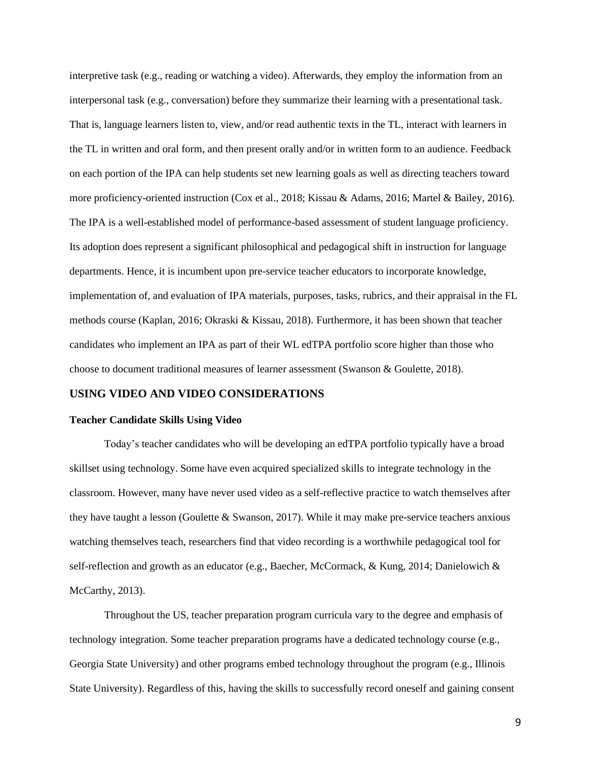interpretive task (e.g., reading or watching a video). Afterwards, they employ the information from an interpersonal task (e.g., conversation) before they summarize their learning with a presentational task. That is, language learners listen to, view, and/or read authentic texts in the TL, interact with learners in the TL in written and oral form, and then present orally and/or in written form to an audience. Feedback on each portion of the IPA can help students set new learning goals as well as directing teachers toward more proficiency-oriented instruction (Cox et al., 2018; Kissau & Adams, 2016; Martel & Bailey, 2016). The IPA is a well-established model of performance-based assessment of student language proficiency. Its adoption does represent a significant philosophical and pedagogical shift in instruction for language departments. Hence, it is incumbent upon pre-service teacher educators to incorporate knowledge, implementation of, and evaluation of IPA materials, purposes, tasks, rubrics, and their appraisal in the FL methods course (Kaplan, 2016; Okraski & Kissau, 2018). Furthermore, it has been shown that teacher candidates who implement an IPA as part of their WL edTPA portfolio score higher than those who choose to document traditional measures of learner assessment (Swanson & Goulette, 2018).

# **USING VIDEO AND VIDEO CONSIDERATIONS**

# **Teacher Candidate Skills Using Video**

Today's teacher candidates who will be developing an edTPA portfolio typically have a broad skillset using technology. Some have even acquired specialized skills to integrate technology in the classroom. However, many have never used video as a self-reflective practice to watch themselves after they have taught a lesson (Goulette & Swanson, 2017). While it may make pre-service teachers anxious watching themselves teach, researchers find that video recording is a worthwhile pedagogical tool for self-reflection and growth as an educator (e.g., Baecher, McCormack, & Kung, 2014; Danielowich & McCarthy, 2013).

Throughout the US, teacher preparation program curricula vary to the degree and emphasis of technology integration. Some teacher preparation programs have a dedicated technology course (e.g., Georgia State University) and other programs embed technology throughout the program (e.g., Illinois State University). Regardless of this, having the skills to successfully record oneself and gaining consent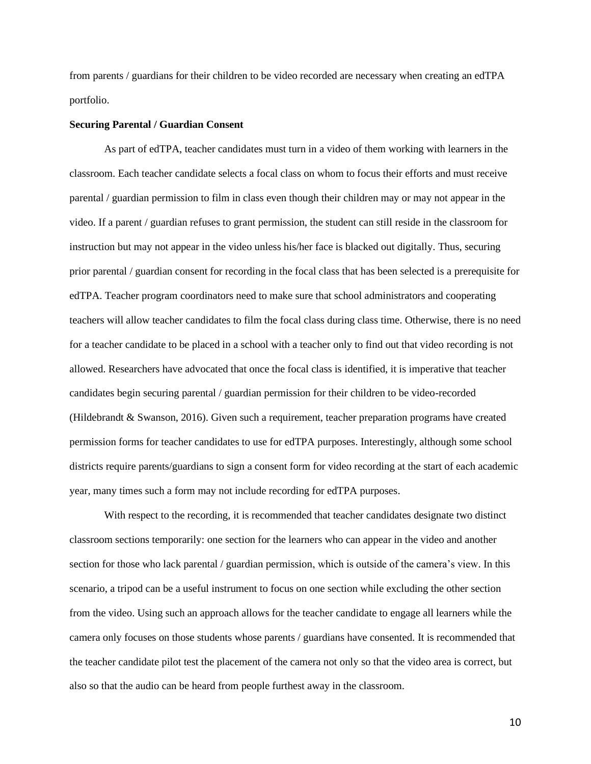from parents / guardians for their children to be video recorded are necessary when creating an edTPA portfolio.

#### **Securing Parental / Guardian Consent**

As part of edTPA, teacher candidates must turn in a video of them working with learners in the classroom. Each teacher candidate selects a focal class on whom to focus their efforts and must receive parental / guardian permission to film in class even though their children may or may not appear in the video. If a parent / guardian refuses to grant permission, the student can still reside in the classroom for instruction but may not appear in the video unless his/her face is blacked out digitally. Thus, securing prior parental / guardian consent for recording in the focal class that has been selected is a prerequisite for edTPA. Teacher program coordinators need to make sure that school administrators and cooperating teachers will allow teacher candidates to film the focal class during class time. Otherwise, there is no need for a teacher candidate to be placed in a school with a teacher only to find out that video recording is not allowed. Researchers have advocated that once the focal class is identified, it is imperative that teacher candidates begin securing parental / guardian permission for their children to be video-recorded (Hildebrandt & Swanson, 2016). Given such a requirement, teacher preparation programs have created permission forms for teacher candidates to use for edTPA purposes. Interestingly, although some school districts require parents/guardians to sign a consent form for video recording at the start of each academic year, many times such a form may not include recording for edTPA purposes.

With respect to the recording, it is recommended that teacher candidates designate two distinct classroom sections temporarily: one section for the learners who can appear in the video and another section for those who lack parental / guardian permission, which is outside of the camera's view. In this scenario, a tripod can be a useful instrument to focus on one section while excluding the other section from the video. Using such an approach allows for the teacher candidate to engage all learners while the camera only focuses on those students whose parents / guardians have consented. It is recommended that the teacher candidate pilot test the placement of the camera not only so that the video area is correct, but also so that the audio can be heard from people furthest away in the classroom.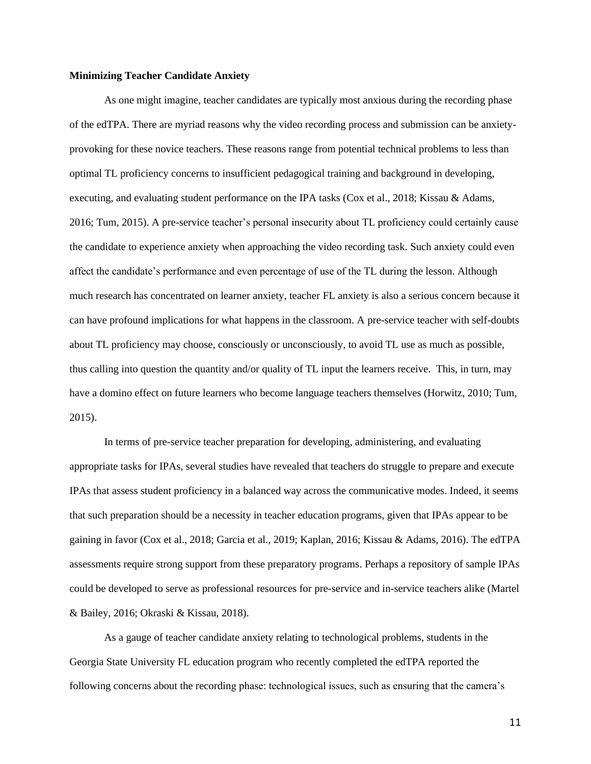#### **Minimizing Teacher Candidate Anxiety**

As one might imagine, teacher candidates are typically most anxious during the recording phase of the edTPA. There are myriad reasons why the video recording process and submission can be anxietyprovoking for these novice teachers. These reasons range from potential technical problems to less than optimal TL proficiency concerns to insufficient pedagogical training and background in developing, executing, and evaluating student performance on the IPA tasks (Cox et al., 2018; Kissau & Adams, 2016; Tum, 2015). A pre-service teacher's personal insecurity about TL proficiency could certainly cause the candidate to experience anxiety when approaching the video recording task. Such anxiety could even affect the candidate's performance and even percentage of use of the TL during the lesson. Although much research has concentrated on learner anxiety, teacher FL anxiety is also a serious concern because it can have profound implications for what happens in the classroom. A pre-service teacher with self-doubts about TL proficiency may choose, consciously or unconsciously, to avoid TL use as much as possible, thus calling into question the quantity and/or quality of TL input the learners receive. This, in turn, may have a domino effect on future learners who become language teachers themselves (Horwitz, 2010; Tum, 2015).

In terms of pre-service teacher preparation for developing, administering, and evaluating appropriate tasks for IPAs, several studies have revealed that teachers do struggle to prepare and execute IPAs that assess student proficiency in a balanced way across the communicative modes. Indeed, it seems that such preparation should be a necessity in teacher education programs, given that IPAs appear to be gaining in favor (Cox et al., 2018; Garcia et al., 2019; Kaplan, 2016; Kissau & Adams, 2016). The edTPA assessments require strong support from these preparatory programs. Perhaps a repository of sample IPAs could be developed to serve as professional resources for pre-service and in-service teachers alike (Martel & Bailey, 2016; Okraski & Kissau, 2018).

As a gauge of teacher candidate anxiety relating to technological problems, students in the Georgia State University FL education program who recently completed the edTPA reported the following concerns about the recording phase: technological issues, such as ensuring that the camera's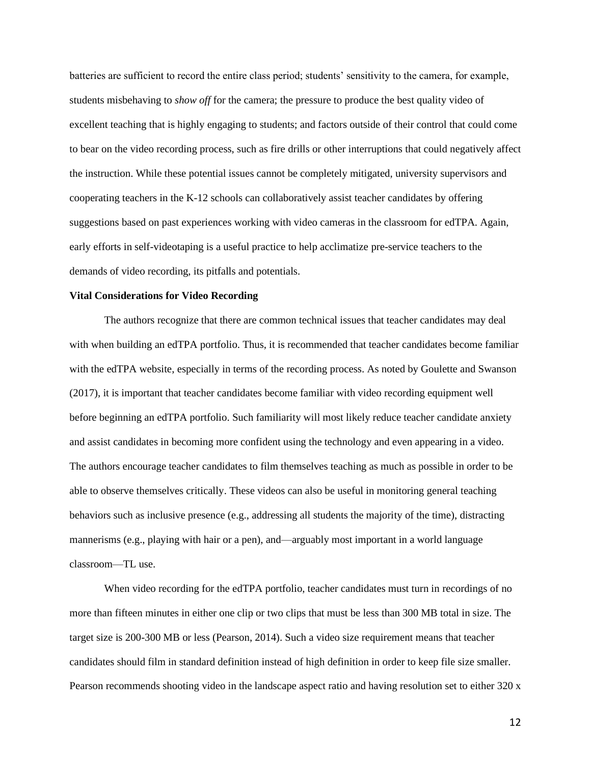batteries are sufficient to record the entire class period; students' sensitivity to the camera, for example, students misbehaving to *show off* for the camera; the pressure to produce the best quality video of excellent teaching that is highly engaging to students; and factors outside of their control that could come to bear on the video recording process, such as fire drills or other interruptions that could negatively affect the instruction. While these potential issues cannot be completely mitigated, university supervisors and cooperating teachers in the K-12 schools can collaboratively assist teacher candidates by offering suggestions based on past experiences working with video cameras in the classroom for edTPA. Again, early efforts in self-videotaping is a useful practice to help acclimatize pre-service teachers to the demands of video recording, its pitfalls and potentials.

#### **Vital Considerations for Video Recording**

The authors recognize that there are common technical issues that teacher candidates may deal with when building an edTPA portfolio. Thus, it is recommended that teacher candidates become familiar with the edTPA website, especially in terms of the recording process. As noted by Goulette and Swanson (2017), it is important that teacher candidates become familiar with video recording equipment well before beginning an edTPA portfolio. Such familiarity will most likely reduce teacher candidate anxiety and assist candidates in becoming more confident using the technology and even appearing in a video. The authors encourage teacher candidates to film themselves teaching as much as possible in order to be able to observe themselves critically. These videos can also be useful in monitoring general teaching behaviors such as inclusive presence (e.g., addressing all students the majority of the time), distracting mannerisms (e.g., playing with hair or a pen), and—arguably most important in a world language classroom—TL use.

When video recording for the edTPA portfolio, teacher candidates must turn in recordings of no more than fifteen minutes in either one clip or two clips that must be less than 300 MB total in size. The target size is 200-300 MB or less (Pearson, 2014). Such a video size requirement means that teacher candidates should film in standard definition instead of high definition in order to keep file size smaller. Pearson recommends shooting video in the landscape aspect ratio and having resolution set to either 320 x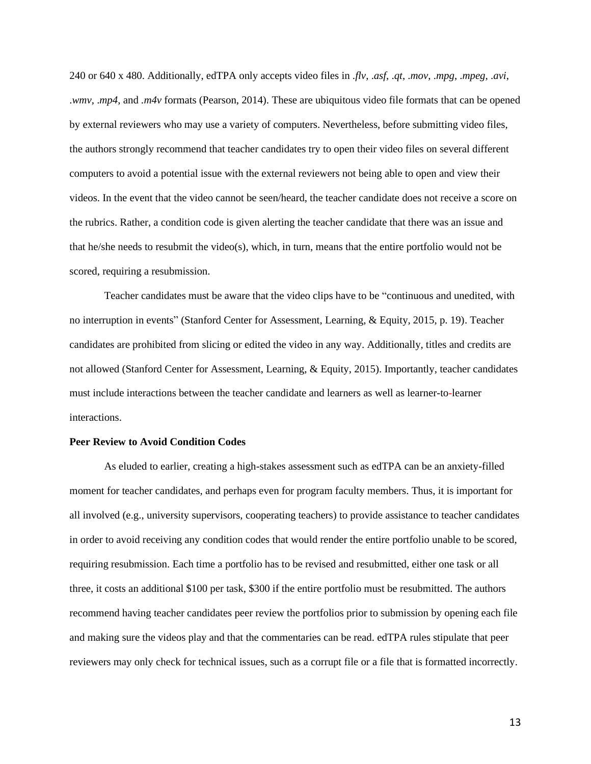240 or 640 x 480. Additionally, edTPA only accepts video files in .*flv*, .*asf*, .*qt*, .*mov*, .*mpg*, .*mpeg*, .*avi*, .*wmv*, .*mp4*, and *.m4v* formats (Pearson, 2014). These are ubiquitous video file formats that can be opened by external reviewers who may use a variety of computers. Nevertheless, before submitting video files, the authors strongly recommend that teacher candidates try to open their video files on several different computers to avoid a potential issue with the external reviewers not being able to open and view their videos. In the event that the video cannot be seen/heard, the teacher candidate does not receive a score on the rubrics. Rather, a condition code is given alerting the teacher candidate that there was an issue and that he/she needs to resubmit the video(s), which, in turn, means that the entire portfolio would not be scored, requiring a resubmission.

Teacher candidates must be aware that the video clips have to be "continuous and unedited, with no interruption in events" (Stanford Center for Assessment, Learning, & Equity, 2015, p. 19). Teacher candidates are prohibited from slicing or edited the video in any way. Additionally, titles and credits are not allowed (Stanford Center for Assessment, Learning, & Equity, 2015). Importantly, teacher candidates must include interactions between the teacher candidate and learners as well as learner-to-learner interactions.

# **Peer Review to Avoid Condition Codes**

As eluded to earlier, creating a high-stakes assessment such as edTPA can be an anxiety-filled moment for teacher candidates, and perhaps even for program faculty members. Thus, it is important for all involved (e.g., university supervisors, cooperating teachers) to provide assistance to teacher candidates in order to avoid receiving any condition codes that would render the entire portfolio unable to be scored, requiring resubmission. Each time a portfolio has to be revised and resubmitted, either one task or all three, it costs an additional \$100 per task, \$300 if the entire portfolio must be resubmitted. The authors recommend having teacher candidates peer review the portfolios prior to submission by opening each file and making sure the videos play and that the commentaries can be read. edTPA rules stipulate that peer reviewers may only check for technical issues, such as a corrupt file or a file that is formatted incorrectly.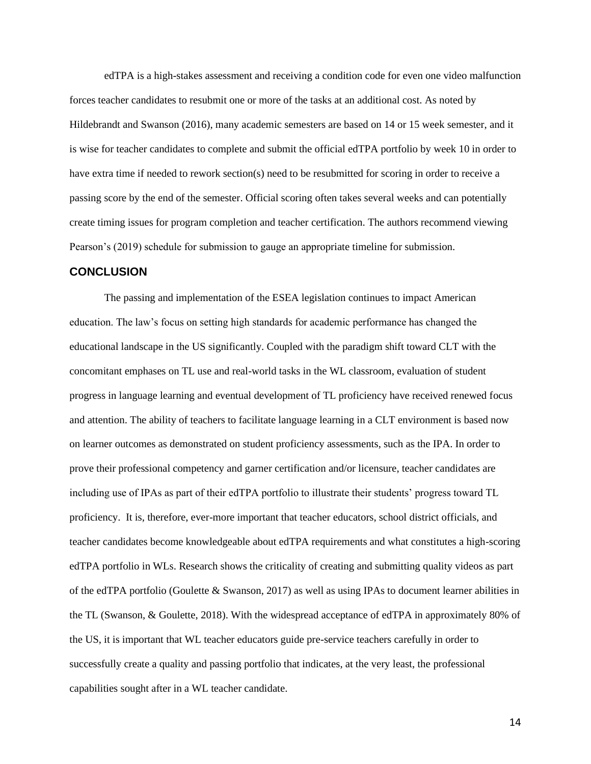edTPA is a high-stakes assessment and receiving a condition code for even one video malfunction forces teacher candidates to resubmit one or more of the tasks at an additional cost. As noted by Hildebrandt and Swanson (2016), many academic semesters are based on 14 or 15 week semester, and it is wise for teacher candidates to complete and submit the official edTPA portfolio by week 10 in order to have extra time if needed to rework section(s) need to be resubmitted for scoring in order to receive a passing score by the end of the semester. Official scoring often takes several weeks and can potentially create timing issues for program completion and teacher certification. The authors recommend viewing Pearson's (2019) schedule for submission to gauge an appropriate timeline for submission.

# **CONCLUSION**

The passing and implementation of the ESEA legislation continues to impact American education. The law's focus on setting high standards for academic performance has changed the educational landscape in the US significantly. Coupled with the paradigm shift toward CLT with the concomitant emphases on TL use and real-world tasks in the WL classroom, evaluation of student progress in language learning and eventual development of TL proficiency have received renewed focus and attention. The ability of teachers to facilitate language learning in a CLT environment is based now on learner outcomes as demonstrated on student proficiency assessments, such as the IPA. In order to prove their professional competency and garner certification and/or licensure, teacher candidates are including use of IPAs as part of their edTPA portfolio to illustrate their students' progress toward TL proficiency. It is, therefore, ever-more important that teacher educators, school district officials, and teacher candidates become knowledgeable about edTPA requirements and what constitutes a high-scoring edTPA portfolio in WLs. Research shows the criticality of creating and submitting quality videos as part of the edTPA portfolio (Goulette & Swanson, 2017) as well as using IPAs to document learner abilities in the TL (Swanson, & Goulette, 2018). With the widespread acceptance of edTPA in approximately 80% of the US, it is important that WL teacher educators guide pre-service teachers carefully in order to successfully create a quality and passing portfolio that indicates, at the very least, the professional capabilities sought after in a WL teacher candidate.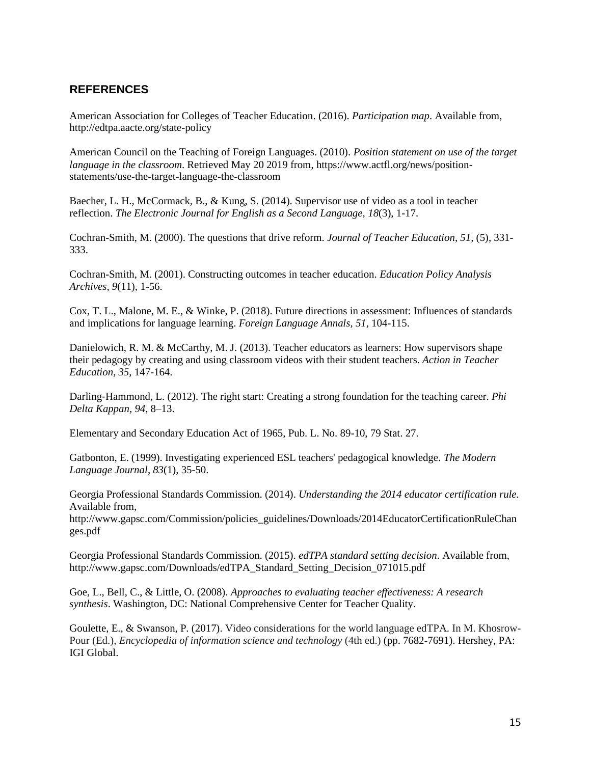# **REFERENCES**

American Association for Colleges of Teacher Education. (2016). *Participation map*. Available from, http://edtpa.aacte.org/state-policy

American Council on the Teaching of Foreign Languages. (2010). *Position statement on use of the target language in the classroom*. Retrieved May 20 2019 from, https://www.actfl.org/news/positionstatements/use-the-target-language-the-classroom

Baecher, L. H., McCormack, B., & Kung, S. (2014). Supervisor use of video as a tool in teacher reflection. *The Electronic Journal for English as a Second Language, 18*(3), 1-17.

Cochran-Smith, M. (2000). The questions that drive reform. *Journal of Teacher Education, 51,* (5), 331- 333.

Cochran-Smith, M. (2001). Constructing outcomes in teacher education. *Education Policy Analysis Archives, 9*(11), 1-56.

Cox, T. L., Malone, M. E., & Winke, P. (2018). Future directions in assessment: Influences of standards and implications for language learning. *Foreign Language Annals, 51,* 104-115.

Danielowich, R. M. & McCarthy, M. J. (2013). Teacher educators as learners: How supervisors shape their pedagogy by creating and using classroom videos with their student teachers. *Action in Teacher Education*, *35*, 147-164.

Darling‐Hammond, L. (2012). The right start: Creating a strong foundation for the teaching career. *Phi Delta Kappan, 94*, 8–13.

Elementary and Secondary Education Act of 1965, Pub. L. No. 89-10, 79 Stat. 27.

Gatbonton, E. (1999). Investigating experienced ESL teachers' pedagogical knowledge. *The Modern Language Journal, 83*(1), 35-50.

Georgia Professional Standards Commission. (2014). *Understanding the 2014 educator certification rule.*  Available from,

http://www.gapsc.com/Commission/policies\_guidelines/Downloads/2014EducatorCertificationRuleChan ges.pdf

Georgia Professional Standards Commission. (2015). *edTPA standard setting decision*. Available from, http://www.gapsc.com/Downloads/edTPA\_Standard\_Setting\_Decision\_071015.pdf

Goe, L., Bell, C., & Little, O. (2008). *Approaches to evaluating teacher effectiveness: A research synthesis*. Washington, DC: National Comprehensive Center for Teacher Quality.

Goulette, E., & Swanson, P. (2017). Video considerations for the world language edTPA. In M. Khosrow-Pour (Ed.), *Encyclopedia of information science and technology* (4th ed.) (pp. 7682-7691). Hershey, PA: IGI Global.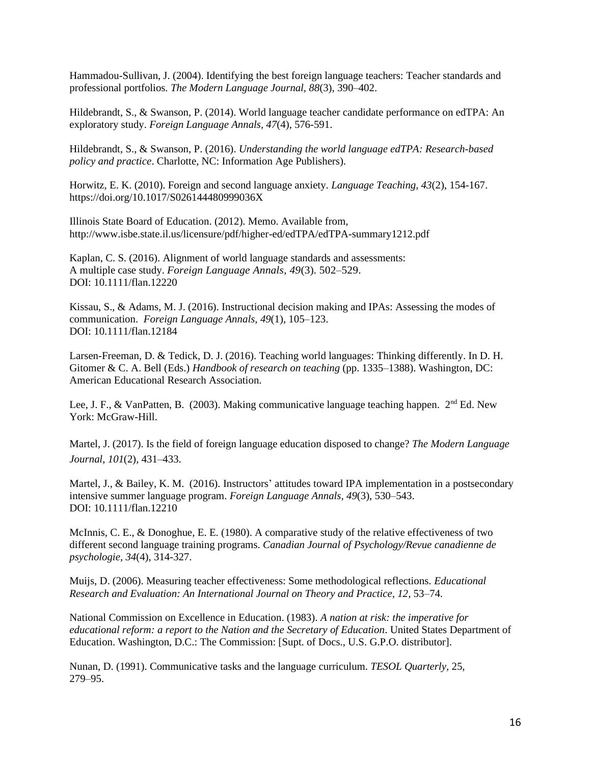Hammadou-Sullivan, J. (2004). Identifying the best foreign language teachers: Teacher standards and professional portfolios. *The Modern Language Journal, 88*(3), 390–402.

Hildebrandt, S., & Swanson, P. (2014). World language teacher candidate performance on edTPA: An exploratory study. *Foreign Language Annals, 47*(4), 576-591.

Hildebrandt, S., & Swanson, P. (2016). *Understanding the world language edTPA: Research-based policy and practice*. Charlotte, NC: Information Age Publishers).

Horwitz, E. K. (2010). Foreign and second language anxiety. *Language Teaching*, *43*(2), 154-167. https://doi.org/10.1017/S026144480999036X

Illinois State Board of Education. (2012). Memo. Available from, http://www.isbe.state.il.us/licensure/pdf/higher-ed/edTPA/edTPA-summary1212.pdf

Kaplan, C. S. (2016). Alignment of world language standards and assessments: A multiple case study. *Foreign Language Annals*, *49*(3). 502–529. DOI: 10.1111/flan.12220

Kissau, S., & Adams, M. J. (2016). Instructional decision making and IPAs: Assessing the modes of communication. *Foreign Language Annals, 49*(1), 105–123. DOI: 10.1111/flan.12184

Larsen-Freeman, D. & Tedick, D. J. (2016). Teaching world languages: Thinking differently. In D. H. Gitomer & C. A. Bell (Eds.) *Handbook of research on teaching* (pp. 1335–1388). Washington, DC: American Educational Research Association.

Lee, J. F., & VanPatten, B. (2003). Making communicative language teaching happen.  $2<sup>nd</sup> Ed$ . New York: McGraw-Hill.

Martel, J. (2017). Is the field of foreign language education disposed to change? *The Modern Language Journal*, *101*(2), 431–433.

Martel, J., & Bailey, K. M. (2016). Instructors' attitudes toward IPA implementation in a postsecondary intensive summer language program. *Foreign Language Annals, 49*(3), 530–543. DOI: 10.1111/flan.12210

McInnis, C. E., & Donoghue, E. E. (1980). A comparative study of the relative effectiveness of two different second language training programs. *Canadian Journal of Psychology/Revue canadienne de psychologie, 34*(4), 314-327.

Muijs, D. (2006). Measuring teacher effectiveness: Some methodological reflections. *Educational Research and Evaluation: An International Journal on Theory and Practice, 12*, 53–74.

National Commission on Excellence in Education. (1983). *A nation at risk: the imperative for educational reform: a report to the Nation and the Secretary of Education*. United States Department of Education. Washington, D.C.: The Commission: [Supt. of Docs., U.S. G.P.O. distributor].

Nunan, D. (1991). Communicative tasks and the language curriculum. *TESOL Quarterly,* 25, 279–95.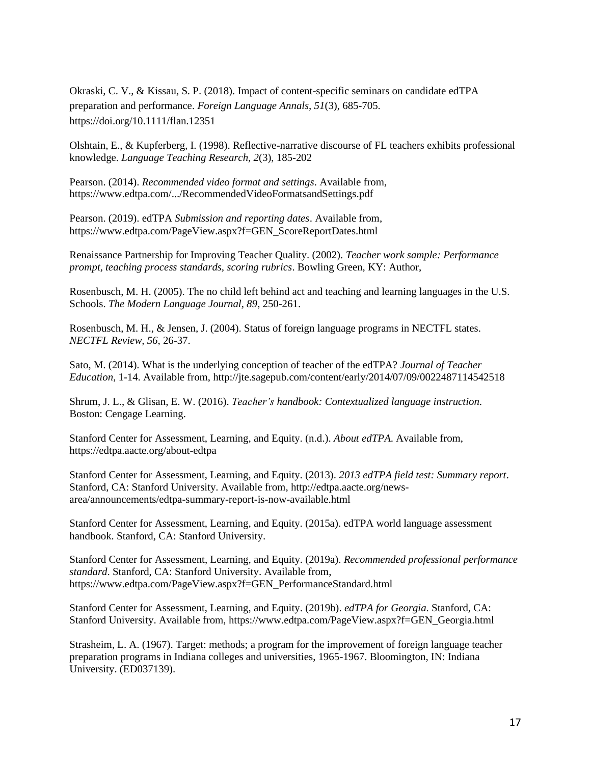Okraski, C. V., & Kissau, S. P. (2018). Impact of content-specific seminars on candidate edTPA preparation and performance. *Foreign Language Annals, 51*(3), 685-705. https://doi.org/10.1111/flan.12351

Olshtain, E., & Kupferberg, I. (1998). Reflective-narrative discourse of FL teachers exhibits professional knowledge. *Language Teaching Research, 2*(3), 185-202

Pearson. (2014). *Recommended video format and settings*. Available from, https://www.edtpa.com/.../RecommendedVideoFormatsandSettings.pdf

Pearson. (2019). edTPA *Submission and reporting dates*. Available from, https://www.edtpa.com/PageView.aspx?f=GEN\_ScoreReportDates.html

Renaissance Partnership for Improving Teacher Quality. (2002). *Teacher work sample: Performance prompt, teaching process standards, scoring rubrics*. Bowling Green, KY: Author,

Rosenbusch, M. H. (2005). The no child left behind act and teaching and learning languages in the U.S. Schools. *The Modern Language Journal, 89*, 250-261.

Rosenbusch, M. H., & Jensen, J. (2004). Status of foreign language programs in NECTFL states. *NECTFL Review, 56*, 26-37.

Sato, M. (2014). What is the underlying conception of teacher of the edTPA? *Journal of Teacher Education*, 1-14. Available from, http://jte.sagepub.com/content/early/2014/07/09/0022487114542518

Shrum, J. L., & Glisan, E. W. (2016). *Teacher's handbook: Contextualized language instruction*. Boston: Cengage Learning.

Stanford Center for Assessment, Learning, and Equity. (n.d.). *About edTPA*. Available from, https://edtpa.aacte.org/about-edtpa

Stanford Center for Assessment, Learning, and Equity. (2013). *2013 edTPA field test: Summary report*. Stanford, CA: Stanford University. Available from, http://edtpa.aacte.org/newsarea/announcements/edtpa-summary-report-is-now-available.html

Stanford Center for Assessment, Learning, and Equity. (2015a). edTPA world language assessment handbook. Stanford, CA: Stanford University.

Stanford Center for Assessment, Learning, and Equity. (2019a). *Recommended professional performance standard*. Stanford, CA: Stanford University. Available from, https://www.edtpa.com/PageView.aspx?f=GEN\_PerformanceStandard.html

Stanford Center for Assessment, Learning, and Equity. (2019b). *edTPA for Georgia*. Stanford, CA: Stanford University. Available from, https://www.edtpa.com/PageView.aspx?f=GEN\_Georgia.html

Strasheim, L. A. (1967). Target: methods; a program for the improvement of foreign language teacher preparation programs in Indiana colleges and universities, 1965-1967. Bloomington, IN: Indiana University. (ED037139).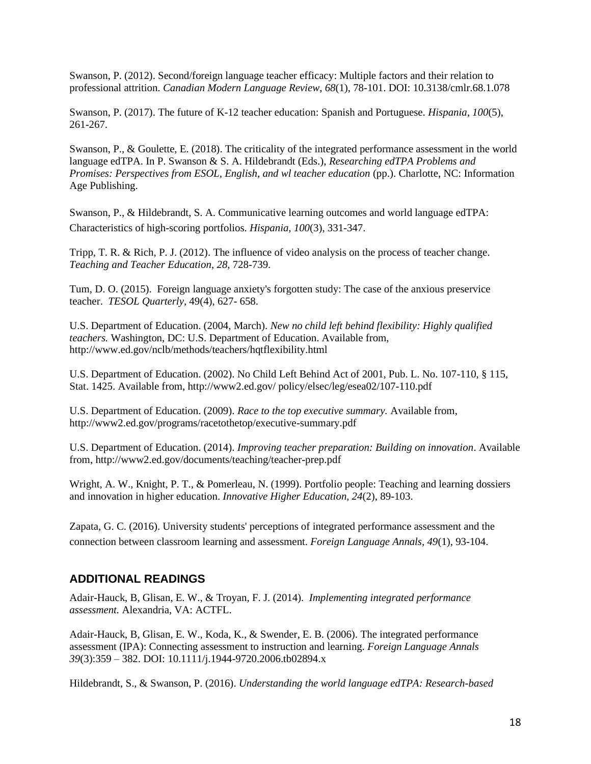Swanson, P. (2012). Second/foreign language teacher efficacy: Multiple factors and their relation to professional attrition. *Canadian Modern Language Review, 68*(1), 78-101. DOI: 10.3138/cmlr.68.1.078

Swanson, P. (2017). The future of K-12 teacher education: Spanish and Portuguese. *Hispania*, *100*(5), 261-267.

Swanson, P., & Goulette, E. (2018). The criticality of the integrated performance assessment in the world language edTPA. In P. Swanson & S. A. Hildebrandt (Eds.), *Researching edTPA Problems and Promises: Perspectives from ESOL, English, and wl teacher education* (pp.). Charlotte, NC: Information Age Publishing.

Swanson, P., & Hildebrandt, S. A. Communicative learning outcomes and world language edTPA: Characteristics of high-scoring portfolios. *Hispania, 100*(3), 331-347.

Tripp, T. R. & Rich, P. J. (2012). The influence of video analysis on the process of teacher change. *Teaching and Teacher Education*, *28,* 728-739.

Tum, D. O. (2015). Foreign language anxiety's forgotten study: The case of the anxious preservice teacher. *TESOL Quarterly*, 49(4), 627- 658.

U.S. Department of Education. (2004, March). *New no child left behind flexibility: Highly qualified teachers.* Washington, DC: U.S. Department of Education. Available from, http://www.ed.gov/nclb/methods/teachers/hqtflexibility.html

U.S. Department of Education. (2002). No Child Left Behind Act of 2001, Pub. L. No. 107-110, § 115, Stat. 1425. Available from, http://www2.ed.gov/ policy/elsec/leg/esea02/107-110.pdf

U.S. Department of Education. (2009). *Race to the top executive summary.* Available from, http://www2.ed.gov/programs/racetothetop/executive-summary.pdf

U.S. Department of Education. (2014). *Improving teacher preparation: Building on innovation*. Available from, http://www2.ed.gov/documents/teaching/teacher-prep.pdf

Wright, A. W., Knight, P. T., & Pomerleau, N. (1999). Portfolio people: Teaching and learning dossiers and innovation in higher education. *Innovative Higher Education, 24*(2), 89-103.

Zapata, G. C. (2016). University students' perceptions of integrated performance assessment and the connection between classroom learning and assessment. *Foreign Language Annals, 49*(1), 93-104.

# **ADDITIONAL READINGS**

Adair-Hauck, B, Glisan, E. W., & Troyan, F. J. (2014). *Implementing integrated performance assessment.* Alexandria, VA: ACTFL.

Adair-Hauck, B, Glisan, E. W., Koda, K., & Swender, E. B. (2006). The integrated performance assessment (IPA): Connecting assessment to instruction and learning. *Foreign Language Annals 39*(3):359 – 382. DOI: 10.1111/j.1944-9720.2006.tb02894.x

Hildebrandt, S., & Swanson, P. (2016). *Understanding the world language edTPA: Research-based*